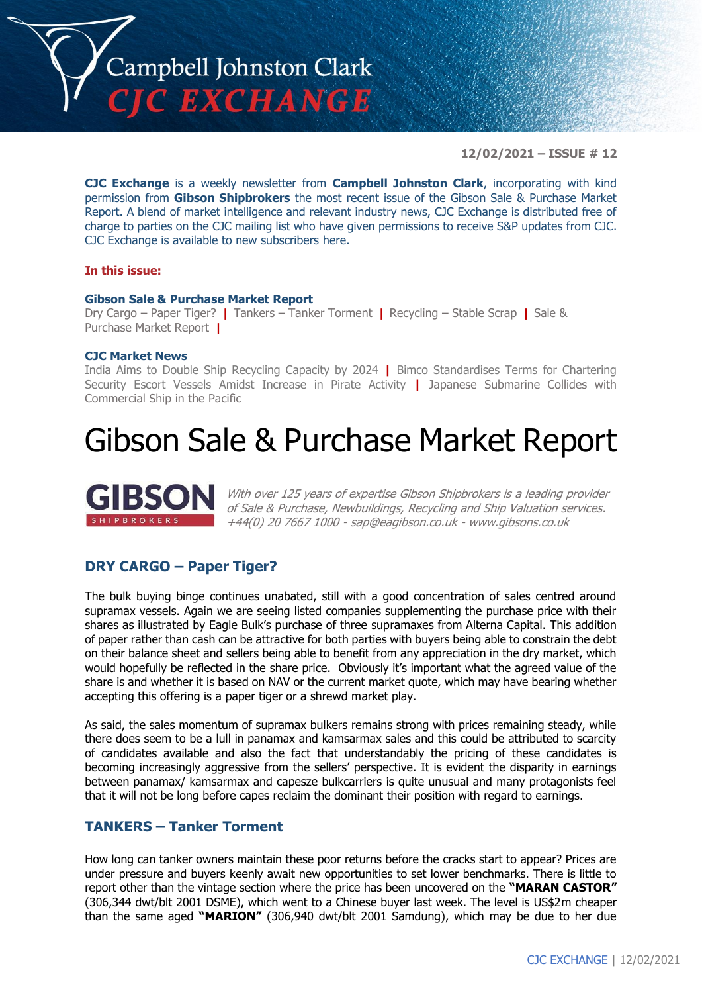

**12/02/2021 – ISSUE # 12**

**CJC Exchange** is a weekly newsletter from **Campbell Johnston Clark**, incorporating with kind permission from **Gibson Shipbrokers** the most recent issue of the Gibson Sale & Purchase Market Report. A blend of market intelligence and relevant industry news, CJC Exchange is distributed free of charge to parties on the CJC mailing list who have given permissions to receive S&P updates from CJC. CJC Exchange is available to new subscribers [here.](mailto:jamesc@cjclaw.com?subject=CJC%20Exchange%20sign-up)

#### **In this issue:**

#### **Gibson Sale & Purchase Market Report**

Dry Cargo – Paper Tiger? **|** Tankers – Tanker Torment **|** Recycling – Stable Scrap **|** Sale & Purchase Market Report **|**

#### **CJC Market News**

India Aims to Double Ship Recycling Capacity by 2024 **|** Bimco Standardises Terms for Chartering Security Escort Vessels Amidst Increase in Pirate Activity **|** Japanese Submarine Collides with Commercial Ship in the Pacific

## Gibson Sale & Purchase Market Report



With over 125 years of expertise Gibson Shipbrokers is a leading provider of Sale & Purchase, Newbuildings, Recycling and Ship Valuation services. +44(0) 20 7667 1000 - [sap@eagibson.co.uk](mailto:sap@eagibson.co.uk) - [www.gibsons.co.uk](https://protect-eu.mimecast.com/s/VO6nCGZzRS60KqcK1jQh/)

### **DRY CARGO – Paper Tiger?**

The bulk buying binge continues unabated, still with a good concentration of sales centred around supramax vessels. Again we are seeing listed companies supplementing the purchase price with their shares as illustrated by Eagle Bulk's purchase of three supramaxes from Alterna Capital. This addition of paper rather than cash can be attractive for both parties with buyers being able to constrain the debt on their balance sheet and sellers being able to benefit from any appreciation in the dry market, which would hopefully be reflected in the share price. Obviously it's important what the agreed value of the share is and whether it is based on NAV or the current market quote, which may have bearing whether accepting this offering is a paper tiger or a shrewd market play.

As said, the sales momentum of supramax bulkers remains strong with prices remaining steady, while there does seem to be a lull in panamax and kamsarmax sales and this could be attributed to scarcity of candidates available and also the fact that understandably the pricing of these candidates is becoming increasingly aggressive from the sellers' perspective. It is evident the disparity in earnings between panamax/ kamsarmax and capesze bulkcarriers is quite unusual and many protagonists feel that it will not be long before capes reclaim the dominant their position with regard to earnings.

## **TANKERS – Tanker Torment**

How long can tanker owners maintain these poor returns before the cracks start to appear? Prices are under pressure and buyers keenly await new opportunities to set lower benchmarks. There is little to report other than the vintage section where the price has been uncovered on the **"MARAN CASTOR"** (306,344 dwt/blt 2001 DSME), which went to a Chinese buyer last week. The level is US\$2m cheaper than the same aged **"MARION"** (306,940 dwt/blt 2001 Samdung), which may be due to her due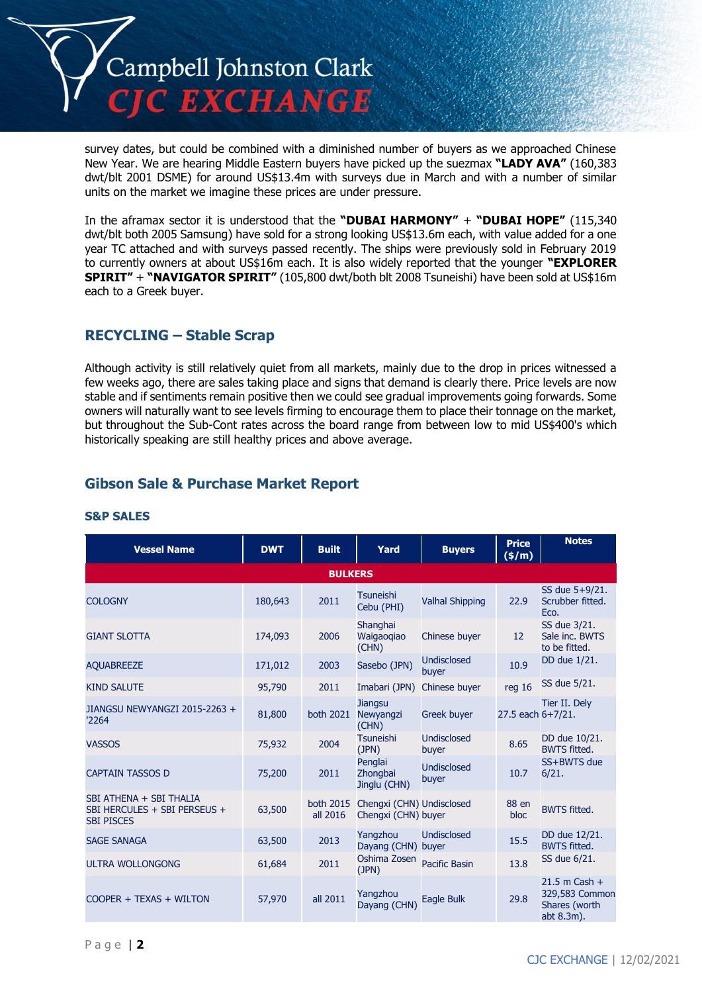

survey dates, but could be combined with a diminished number of buyers as we approached Chinese New Year. We are hearing Middle Eastern buyers have picked up the suezmax **"LADY AVA"** (160,383 dwt/blt 2001 DSME) for around US\$13.4m with surveys due in March and with a number of similar units on the market we imagine these prices are under pressure.

In the aframax sector it is understood that the **"DUBAI HARMONY"** + **"DUBAI HOPE"** (115,340 dwt/blt both 2005 Samsung) have sold for a strong looking US\$13.6m each, with value added for a one year TC attached and with surveys passed recently. The ships were previously sold in February 2019 to currently owners at about US\$16m each. It is also widely reported that the younger **"EXPLORER SPIRIT"** + **"NAVIGATOR SPIRIT"** (105,800 dwt/both blt 2008 Tsuneishi) have been sold at US\$16m each to a Greek buyer.

## **RECYCLING – Stable Scrap**

Although activity is still relatively quiet from all markets, mainly due to the drop in prices witnessed a few weeks ago, there are sales taking place and signs that demand is clearly there. Price levels are now stable and if sentiments remain positive then we could see gradual improvements going forwards. Some owners will naturally want to see levels firming to encourage them to place their tonnage on the market, but throughout the Sub-Cont rates across the board range from between low to mid US\$400's which historically speaking are still healthy prices and above average.

## **Gibson Sale & Purchase Market Report**

| <b>Vessel Name</b>                                                           | <b>DWT</b> | <b>Built</b>          | Yard                                             | <b>Buyers</b>               | <b>Price</b><br>(\$/m) | <b>Notes</b>                                                     |
|------------------------------------------------------------------------------|------------|-----------------------|--------------------------------------------------|-----------------------------|------------------------|------------------------------------------------------------------|
|                                                                              |            | <b>BULKERS</b>        |                                                  |                             |                        |                                                                  |
| <b>COLOGNY</b>                                                               | 180,643    | 2011                  | <b>Tsuneishi</b><br>Cebu (PHI)                   | <b>Valhal Shipping</b>      | 22.9                   | SS due 5+9/21.<br>Scrubber fitted.<br>Eco.                       |
| <b>GIANT SLOTTA</b>                                                          | 174,093    | 2006                  | Shanghai<br>Waigaogiao<br>(CHN)                  | Chinese buyer               | 12                     | SS due 3/21.<br>Sale inc. BWTS<br>to be fitted.                  |
| <b>AQUABREEZE</b>                                                            | 171,012    | 2003                  | Sasebo (JPN)                                     | <b>Undisclosed</b><br>buyer | 10.9                   | DD due 1/21.                                                     |
| <b>KIND SALUTE</b>                                                           | 95,790     | 2011                  | Imabari (JPN)                                    | Chinese buyer               | reg 16                 | SS due 5/21.                                                     |
| JIANGSU NEWYANGZI 2015-2263 +<br>'2264                                       | 81,800     | both 2021             | <b>Jiangsu</b><br>Newyangzi<br>(CHN)             | <b>Greek buyer</b>          | 27.5 each 6+7/21.      | Tier II. Dely                                                    |
| <b>VASSOS</b>                                                                | 75,932     | 2004                  | Tsuneishi<br>(JPN)                               | <b>Undisclosed</b><br>buyer | 8.65                   | DD due 10/21.<br><b>BWTS fitted.</b>                             |
| <b>CAPTAIN TASSOS D</b>                                                      | 75,200     | 2011                  | Penglai<br>Zhongbai<br>Jinglu (CHN)              | <b>Undisclosed</b><br>buyer | 10.7                   | SS+BWTS due<br>6/21.                                             |
| SBI ATHENA + SBI THALIA<br>SBI HERCULES + SBI PERSEUS +<br><b>SBI PISCES</b> | 63,500     | both 2015<br>all 2016 | Chengxi (CHN) Undisclosed<br>Chengxi (CHN) buyer |                             | 88 en<br>bloc          | <b>BWTS fitted.</b>                                              |
| <b>SAGE SANAGA</b>                                                           | 63,500     | 2013                  | Yangzhou<br>Dayang (CHN) buyer                   | <b>Undisclosed</b>          | 15.5                   | DD due 12/21.<br><b>BWTS fitted.</b>                             |
| <b>ULTRA WOLLONGONG</b>                                                      | 61,684     | 2011                  | Oshima Zosen<br>(JPN)                            | <b>Pacific Basin</b>        | 13.8                   | SS due 6/21.                                                     |
| COOPER + TEXAS + WILTON                                                      | 57,970     | all 2011              | Yangzhou<br>Dayang (CHN)                         | Eagle Bulk                  | 29.8                   | $21.5$ m Cash +<br>329,583 Common<br>Shares (worth<br>abt 8.3m). |

### **S&P SALES**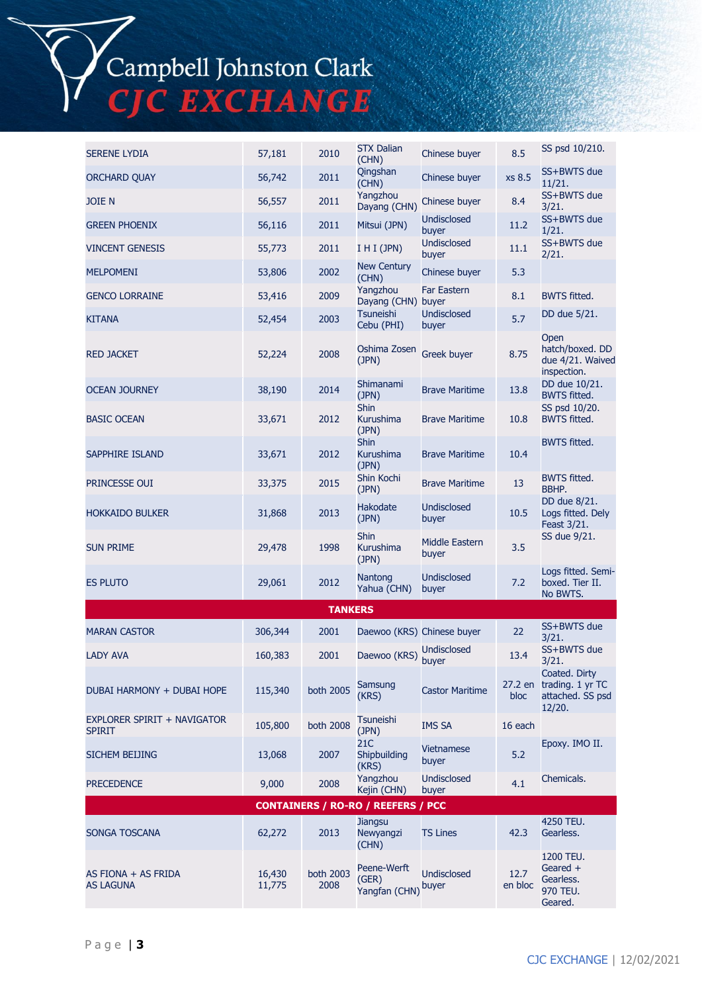Campbell Johnston Clark<br>CJC EXCHANGE

| <b>SERENE LYDIA</b>                          | 57,181           | 2010              | <b>STX Dalian</b><br>(CHN)            | Chinese buyer               | 8.5             | SS psd 10/210.                                                          |  |
|----------------------------------------------|------------------|-------------------|---------------------------------------|-----------------------------|-----------------|-------------------------------------------------------------------------|--|
| <b>ORCHARD QUAY</b>                          | 56,742           | 2011              | Qingshan<br>(CHN)                     | Chinese buyer               | xs 8.5          | SS+BWTS due<br>11/21.                                                   |  |
| <b>JOIE N</b>                                | 56,557           | 2011              | Yangzhou<br>Dayang (CHN)              | Chinese buyer               | 8.4             | SS+BWTS due<br>3/21.                                                    |  |
| <b>GREEN PHOENIX</b>                         | 56,116           | 2011              | Mitsui (JPN)                          | <b>Undisclosed</b><br>buyer | 11.2            | SS+BWTS due<br>1/21.                                                    |  |
| <b>VINCENT GENESIS</b>                       | 55,773           | 2011              | I H I (JPN)                           | <b>Undisclosed</b><br>buyer | 11.1            | SS+BWTS due<br>2/21.                                                    |  |
| <b>MELPOMENI</b>                             | 53,806           | 2002              | <b>New Century</b><br>(CHN)           | Chinese buyer               | 5.3             |                                                                         |  |
| <b>GENCO LORRAINE</b>                        | 53,416           | 2009              | Yangzhou<br>Dayang (CHN) buyer        | <b>Far Eastern</b>          | 8.1             | <b>BWTS fitted.</b>                                                     |  |
| <b>KITANA</b>                                | 52,454           | 2003              | <b>Tsuneishi</b><br>Cebu (PHI)        | <b>Undisclosed</b><br>buyer | 5.7             | DD due 5/21.                                                            |  |
| <b>RED JACKET</b>                            | 52,224           | 2008              | Oshima Zosen<br>(JPN)                 | Greek buyer                 | 8.75            | Open<br>hatch/boxed. DD<br>due 4/21. Waived<br>inspection.              |  |
| <b>OCEAN JOURNEY</b>                         | 38,190           | 2014              | Shimanami<br>(JPN)                    | <b>Brave Maritime</b>       | 13.8            | DD due 10/21.<br><b>BWTS fitted.</b>                                    |  |
| <b>BASIC OCEAN</b>                           | 33,671           | 2012              | <b>Shin</b><br>Kurushima<br>(JPN)     | <b>Brave Maritime</b>       | 10.8            | SS psd 10/20.<br><b>BWTS fitted.</b>                                    |  |
| SAPPHIRE ISLAND                              | 33,671           | 2012              | <b>Shin</b><br>Kurushima<br>(JPN)     | <b>Brave Maritime</b>       | 10.4            | <b>BWTS fitted.</b>                                                     |  |
| PRINCESSE OUI                                | 33,375           | 2015              | Shin Kochi<br>(JPN)                   | <b>Brave Maritime</b>       | 13              | <b>BWTS fitted.</b><br>BBHP.                                            |  |
| <b>HOKKAIDO BULKER</b>                       | 31,868           | 2013              | Hakodate<br>(JPN)                     | <b>Undisclosed</b><br>buyer | 10.5            | DD due 8/21.<br>Logs fitted. Dely<br>Feast 3/21.                        |  |
| <b>SUN PRIME</b>                             | 29,478           | 1998              | <b>Shin</b><br>Kurushima<br>(JPN)     | Middle Eastern<br>buyer     | 3.5             | SS due 9/21.                                                            |  |
| <b>ES PLUTO</b>                              | 29,061           | 2012              | Nantong<br>Yahua (CHN)                | <b>Undisclosed</b><br>buyer | 7.2             | Logs fitted. Semi-<br>boxed. Tier II.<br>No BWTS.                       |  |
| <b>TANKERS</b>                               |                  |                   |                                       |                             |                 |                                                                         |  |
| <b>MARAN CASTOR</b>                          | 306,344          | 2001              |                                       | Daewoo (KRS) Chinese buyer  | 22              | SS+BWTS due<br>3/21.                                                    |  |
| <b>LADY AVA</b>                              | 160,383          | 2001              | Daewoo (KRS)                          | <b>Undisclosed</b><br>buyer | 13.4            | SS+BWTS due<br>3/21.                                                    |  |
| DUBAI HARMONY + DUBAI HOPE                   | 115,340          | both 2005         | Samsung<br>(KRS)                      | <b>Castor Maritime</b>      | bloc            | Coated. Dirty<br>27.2 en trading. 1 yr TC<br>attached. SS psd<br>12/20. |  |
| EXPLORER SPIRIT + NAVIGATOR<br><b>SPIRIT</b> | 105,800          | both 2008         | Tsuneishi<br>(JPN)                    | IMS SA                      | 16 each         |                                                                         |  |
| SICHEM BEIJING                               | 13,068           | 2007              | 21C<br>Shipbuilding<br>(KRS)          | <b>Vietnamese</b><br>buyer  | 5.2             | Epoxy. IMO II.                                                          |  |
| <b>PRECEDENCE</b>                            | 9,000            | 2008              | Yangzhou<br>Kejin (CHN)               | <b>Undisclosed</b><br>buyer | 4.1             | Chemicals.                                                              |  |
| <b>CONTAINERS / RO-RO / REEFERS / PCC</b>    |                  |                   |                                       |                             |                 |                                                                         |  |
| SONGA TOSCANA                                | 62,272           | 2013              | Jiangsu<br>Newyangzi<br>(CHN)         | <b>TS Lines</b>             | 42.3            | 4250 TEU.<br>Gearless.                                                  |  |
| AS FIONA + AS FRIDA<br>AS LAGUNA             | 16,430<br>11,775 | both 2003<br>2008 | Peene-Werft<br>(GER)<br>Yangfan (CHN) | <b>Undisclosed</b><br>buyer | 12.7<br>en bloc | 1200 TEU.<br>Geared $+$<br>Gearless.<br>970 TEU.<br>Geared.             |  |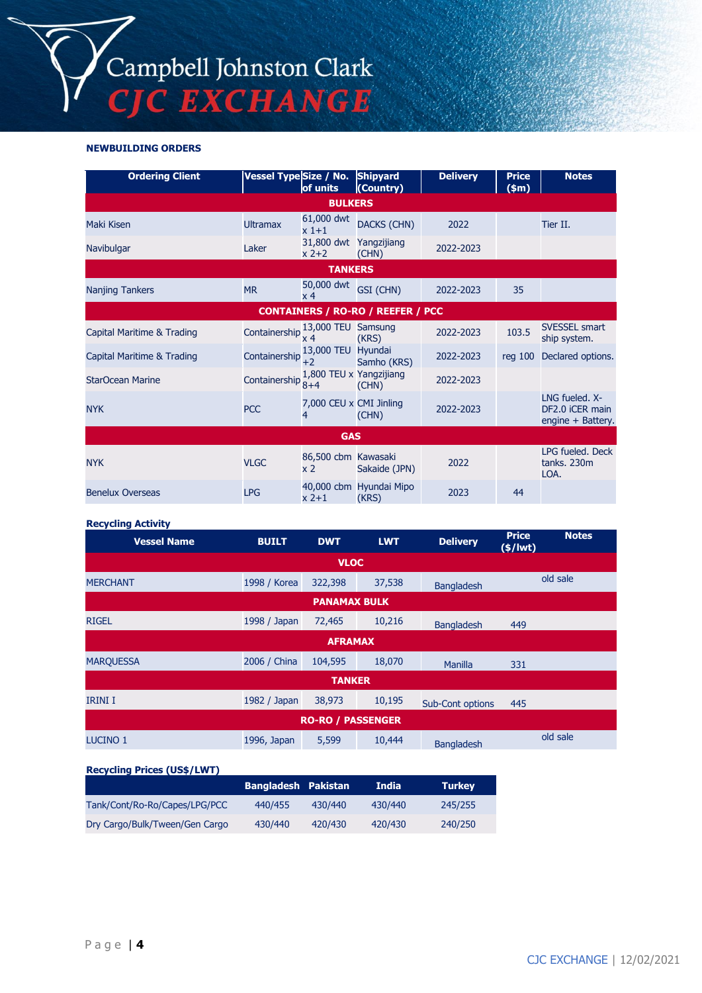#### **NEWBUILDING ORDERS**

| <b>Ordering Client</b>     | Vessel Type Size / No.       | of units                              | <b>Shipyard</b><br>(Country)             | <b>Delivery</b> | <b>Price</b><br>\$m\$ | <b>Notes</b>                                           |
|----------------------------|------------------------------|---------------------------------------|------------------------------------------|-----------------|-----------------------|--------------------------------------------------------|
|                            |                              | <b>BULKERS</b>                        |                                          |                 |                       |                                                        |
| Maki Kisen                 | <b>Ultramax</b>              | 61,000 dwt<br>$x1+1$                  | <b>DACKS (CHN)</b>                       | 2022            |                       | Tier II.                                               |
| Navibulgar                 | Laker                        | 31,800 dwt Yangzijiang<br>$x$ 2+2     | (CHN)                                    | 2022-2023       |                       |                                                        |
|                            |                              | <b>TANKERS</b>                        |                                          |                 |                       |                                                        |
| <b>Nanjing Tankers</b>     | <b>MR</b>                    | 50,000 dwt<br>x 4                     | GSI (CHN)                                | 2022-2023       | 35                    |                                                        |
|                            |                              |                                       | <b>CONTAINERS / RO-RO / REEFER / PCC</b> |                 |                       |                                                        |
| Capital Maritime & Trading | Containership $\frac{13}{x}$ | 13,000 TEU                            | Samsung<br>(KRS)                         | 2022-2023       | 103.5                 | <b>SVESSEL smart</b><br>ship system.                   |
| Capital Maritime & Trading | Containership                | 13,000 TEU<br>$+2$                    | Hyundai<br>Samho (KRS)                   | 2022-2023       | $req$ 100             | Declared options.                                      |
| StarOcean Marine           | Containership                | 1,800 TEU x Yangzijiang<br>$8 + 4$    | (CHN)                                    | 2022-2023       |                       |                                                        |
| <b>NYK</b>                 | <b>PCC</b>                   | 7,000 CEU x CMI Jinling<br>4          | (CHN)                                    | 2022-2023       |                       | LNG fueled. X-<br>DF2.0 iCER main<br>engine + Battery. |
| <b>GAS</b>                 |                              |                                       |                                          |                 |                       |                                                        |
| <b>NYK</b>                 | <b>VLGC</b>                  | 86,500 cbm Kawasaki<br>x <sub>2</sub> | Sakaide (JPN)                            | 2022            |                       | LPG fueled. Deck<br>tanks. 230m<br>LOA.                |
| <b>Benelux Overseas</b>    | <b>LPG</b>                   | $x$ 2+1                               | 40,000 cbm Hyundai Mipo<br>(KRS)         | 2023            | 44                    |                                                        |

#### **Recycling Activity**

| <b>Vessel Name</b>       | <b>BUILT</b> | <b>DWT</b>          | <b>LWT</b> | <b>Delivery</b>         | <b>Price</b><br>$(\frac{2}{3}) lwt)$ | <b>Notes</b> |  |  |
|--------------------------|--------------|---------------------|------------|-------------------------|--------------------------------------|--------------|--|--|
| <b>VLOC</b>              |              |                     |            |                         |                                      |              |  |  |
| <b>MERCHANT</b>          | 1998 / Korea | 322,398             | 37,538     | <b>Bangladesh</b>       |                                      | old sale     |  |  |
|                          |              | <b>PANAMAX BULK</b> |            |                         |                                      |              |  |  |
| <b>RIGEL</b>             | 1998 / Japan | 72,465              | 10,216     | <b>Bangladesh</b>       | 449                                  |              |  |  |
| <b>AFRAMAX</b>           |              |                     |            |                         |                                      |              |  |  |
| <b>MARQUESSA</b>         | 2006 / China | 104,595             | 18,070     | <b>Manilla</b>          | 331                                  |              |  |  |
| <b>TANKER</b>            |              |                     |            |                         |                                      |              |  |  |
| <b>IRINI I</b>           | 1982 / Japan | 38,973              | 10,195     | <b>Sub-Cont options</b> | 445                                  |              |  |  |
| <b>RO-RO / PASSENGER</b> |              |                     |            |                         |                                      |              |  |  |
| <b>LUCINO 1</b>          | 1996, Japan  | 5,599               | 10,444     | <b>Bangladesh</b>       |                                      | old sale     |  |  |

#### **Recycling Prices (US\$/LWT)**

|                                | <b>Bangladesh Pakistan</b> |         | <b>India</b> | <b>Turkey</b> |
|--------------------------------|----------------------------|---------|--------------|---------------|
| Tank/Cont/Ro-Ro/Capes/LPG/PCC  | 440/455                    | 430/440 | 430/440      | 245/255       |
| Dry Cargo/Bulk/Tween/Gen Cargo | 430/440                    | 420/430 | 420/430      | 240/250       |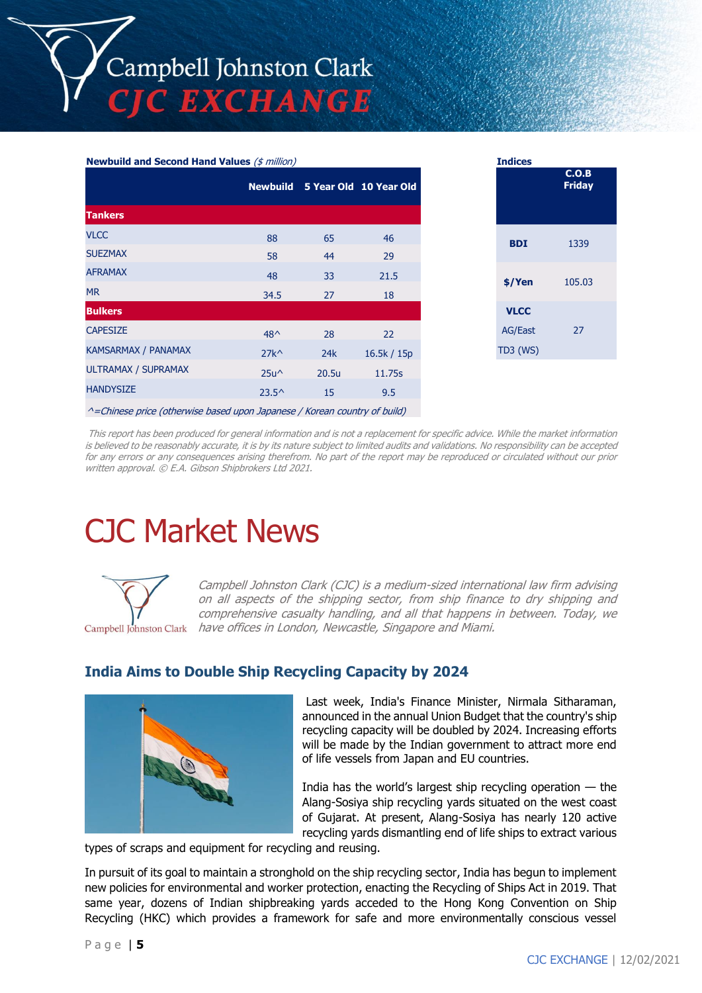#### **Newbuild and Second Hand Values** (\$ million)

|                            |                |       | Newbuild 5 Year Old 10 Year Old |
|----------------------------|----------------|-------|---------------------------------|
| <b>Tankers</b>             |                |       |                                 |
| <b>VLCC</b>                | 88             | 65    | 46                              |
| <b>SUEZMAX</b>             | 58             | 44    | 29                              |
| <b>AFRAMAX</b>             | 48             | 33    | 21.5                            |
| <b>MR</b>                  | 34.5           | 27    | 18                              |
| <b>Bulkers</b>             |                |       |                                 |
| <b>CAPESIZE</b>            | $48^{\wedge}$  | 28    | 22                              |
| KAMSARMAX / PANAMAX        | $27k^{\wedge}$ | 24k   | 16.5k / 15p                     |
| <b>ULTRAMAX / SUPRAMAX</b> | $25u^{\wedge}$ | 20.5u | 11.75s                          |
| <b>HANDYSIZE</b>           | $23.5^{\circ}$ | 15    | 9.5                             |
|                            |                |       |                                 |

| <b>Indices</b> |                        |
|----------------|------------------------|
|                | C.O.B<br><b>Friday</b> |
| <b>BDI</b>     | 1339                   |
| \$/Yen         | 105.03                 |
| <b>VLCC</b>    |                        |
| <b>AG/East</b> | 27                     |
| TD3 (WS)       |                        |

^=Chinese price (otherwise based upon Japanese / Korean country of build)

This report has been produced for general information and is not a replacement for specific advice. While the market information is believed to be reasonably accurate, it is by its nature subject to limited audits and validations. No responsibility can be accepted for any errors or any consequences arising therefrom. No part of the report may be reproduced or circulated without our prior written approval. © E.A. Gibson Shipbrokers Ltd 2021.

# CJC Market News



Campbell Johnston Clark (CJC) is a medium-sized international law firm advising on all aspects of the shipping sector, from ship finance to dry shipping and comprehensive casualty handling, and all that happens in between. Today, we Campbell Johnston Clark have offices in London, Newcastle, Singapore and Miami.

## **India Aims to Double Ship Recycling Capacity by 2024**



Last week, India's Finance Minister, Nirmala Sitharaman, announced in the annual Union Budget that the country's ship recycling capacity will be doubled by 2024. Increasing efforts will be made by the Indian government to attract more end of life vessels from Japan and EU countries.

India has the world's largest ship recycling operation  $-$  the Alang-Sosiya ship recycling yards situated on the west coast of Gujarat. At present, Alang-Sosiya has nearly 120 active recycling yards dismantling end of life ships to extract various

types of scraps and equipment for recycling and reusing.

In pursuit of its goal to maintain a stronghold on the ship recycling sector, India has begun to implement new policies for environmental and worker protection, enacting the Recycling of Ships Act in 2019. That same year, dozens of Indian shipbreaking yards acceded to the Hong Kong Convention on Ship Recycling (HKC) which provides a framework for safe and more environmentally conscious vessel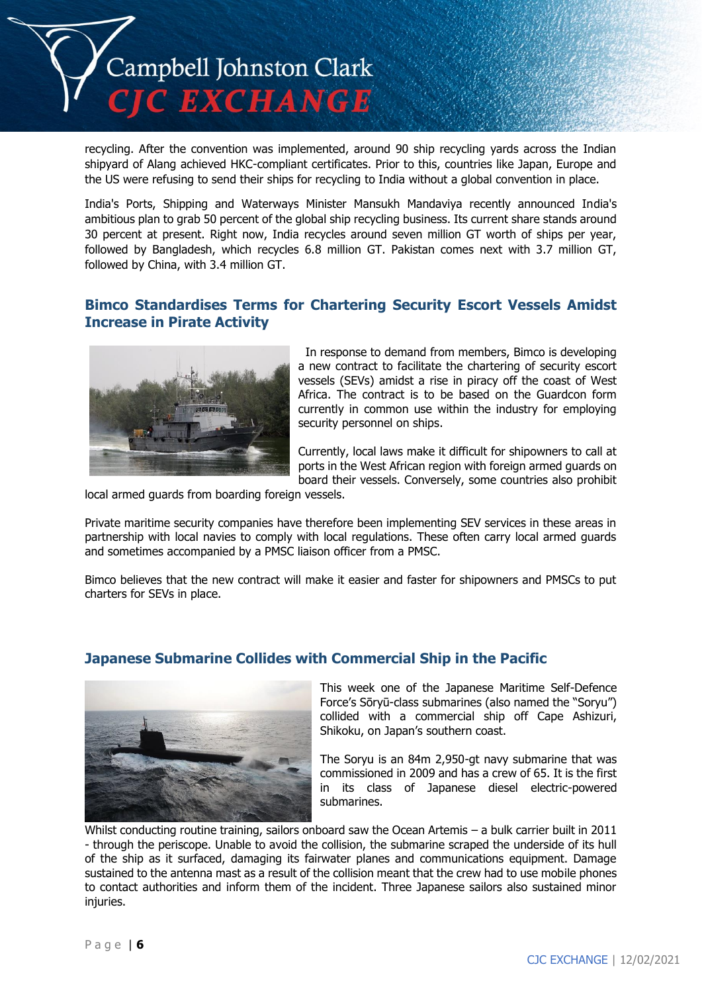

recycling. After the convention was implemented, around 90 ship recycling yards across the Indian shipyard of Alang achieved HKC-compliant certificates. Prior to this, countries like Japan, Europe and the US were refusing to send their ships for recycling to India without a global convention in place.

India's Ports, Shipping and Waterways Minister Mansukh Mandaviya recently announced India's ambitious plan to grab 50 percent of the global ship recycling business. Its current share stands around 30 percent at present. Right now, India recycles around seven million GT worth of ships per year, followed by Bangladesh, which recycles 6.8 million GT. Pakistan comes next with 3.7 million GT, followed by China, with 3.4 million GT.

## **Bimco Standardises Terms for Chartering Security Escort Vessels Amidst Increase in Pirate Activity**



In response to demand from members, Bimco is developing a new contract to facilitate the chartering of security escort vessels (SEVs) amidst a rise in piracy off the coast of West Africa. The contract is to be based on the Guardcon form currently in common use within the industry for employing security personnel on ships.

Currently, local laws make it difficult for shipowners to call at ports in the West African region with foreign armed guards on board their vessels. Conversely, some countries also prohibit

local armed guards from boarding foreign vessels.

Private maritime security companies have therefore been implementing SEV services in these areas in partnership with local navies to comply with local regulations. These often carry local armed guards and sometimes accompanied by a PMSC liaison officer from a PMSC.

Bimco believes that the new contract will make it easier and faster for shipowners and PMSCs to put charters for SEVs in place.

## **Japanese Submarine Collides with Commercial Ship in the Pacific**



This week one of the Japanese Maritime Self-Defence Force's Sōryū-class submarines (also named the "Soryu") collided with a commercial ship off Cape Ashizuri, Shikoku, on Japan's southern coast.

The Soryu is an 84m 2,950-gt navy submarine that was commissioned in 2009 and has a crew of 65. It is the first in its class of Japanese diesel electric-powered submarines.

Whilst conducting routine training, sailors onboard saw the Ocean Artemis – a bulk carrier built in 2011 - through the periscope. Unable to avoid the collision, the submarine scraped the underside of its hull of the ship as it surfaced, damaging its fairwater planes and communications equipment. Damage sustained to the antenna mast as a result of the collision meant that the crew had to use mobile phones to contact authorities and inform them of the incident. Three Japanese sailors also sustained minor injuries.